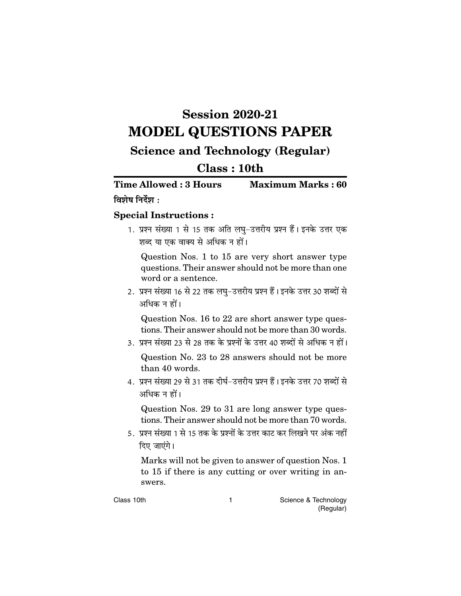## **Session 2020-21 MODEL QUESTIONS PAPER**

## **Science and Technology (Regular)**

## $Class: 10th$

**Time Allowed: 3 Hours Maximum Marks: 60** विशेष निर्देश $\cdot$ 

## **Special Instructions:**

1. प्रश्न संख्या 1 से 15 तक अति लघु-उत्तरीय प्रश्न हैं। इनके उत्तर एक शब्द या एक वाक्य से अधिक न हों।

Question Nos. 1 to 15 are very short answer type questions. Their answer should not be more than one word or a sentence.

2. प्रश्न संख्या 16 से 22 तक लघु–उत्तरीय प्रश्न हैं। इनके उत्तर 30 शब्दों से अधिक न हों।

Question Nos. 16 to 22 are short answer type questions. Their answer should not be more than 30 words.

3. प्रश्न संख्या 23 से 28 तक के प्रश्नों के उत्तर 40 शब्दों से अधिक न हों।

Question No. 23 to 28 answers should not be more than 40 words.

4. प्रश्न संख्या 29 से 31 तक दीर्घ-उत्तरीय प्रश्न हैं। इनके उत्तर 70 शब्दों से अधिक न हों।

Question Nos. 29 to 31 are long answer type questions. Their answer should not be more than 70 words.

5. प्रश्न संख्या 1 से 15 तक के प्रश्नों के उत्तर काट कर लिखने पर अंक नहीं दिए जाएंगे।

Marks will not be given to answer of question Nos. 1 to 15 if there is any cutting or over writing in answers.

 $\mathbf{1}$ 

Class 10th

Science & Technology (Regular)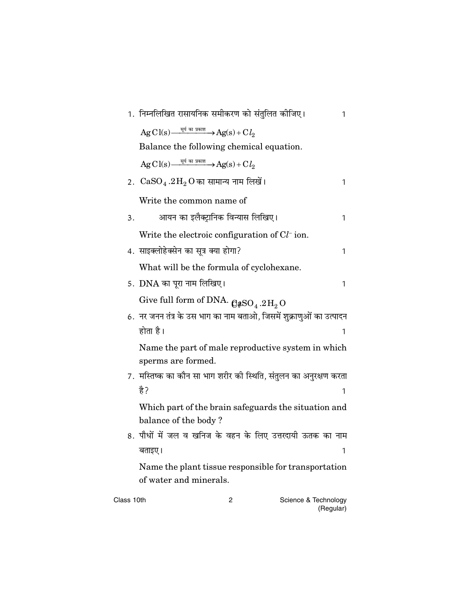|            | 1.  निम्नलिखित रासायनिक समीकरण को संतुलित कीजिए।                                                                                                        |   |                      | 1 |
|------------|---------------------------------------------------------------------------------------------------------------------------------------------------------|---|----------------------|---|
|            | $\mathrm{Ag}\,\mathrm{Cl}(\mathrm{s}) \xrightarrow{\frac{\mathrm{ref}}{\mathrm{df}}\text{ an graph}} \mathrm{Ag}(\mathrm{s}) + \mathrm{C}\,l_{2}$       |   |                      |   |
|            | Balance the following chemical equation.                                                                                                                |   |                      |   |
|            | $\mathrm{AgC1}\mathrm{(s)} \xrightarrow{\frac{\mathrm{42}}{\mathrm{g}} \text{ and } \mathrm{H} \times \mathrm{H}} \mathrm{Ag(s)} + \mathrm{C} \, l_{2}$ |   |                      |   |
|            | 2. $CaSO_4.2H_2O$ का सामान्य नाम लिखें।                                                                                                                 |   |                      | 1 |
|            | Write the common name of                                                                                                                                |   |                      |   |
| 3.         | आयन का इलैक्ट्रानिक विन्यास लिखिए।                                                                                                                      |   |                      | 1 |
|            | Write the electroic configuration of $Cl-$ ion.                                                                                                         |   |                      |   |
|            | 4. साइक्लोहेक्सेन का सूत्र क्या होगा?                                                                                                                   |   |                      | 1 |
|            | What will be the formula of cyclohexane.                                                                                                                |   |                      |   |
|            | 5.  DNA का पूरा नाम लिखिए।                                                                                                                              |   |                      | 1 |
|            | Give full form of DNA. $Q_{\text{QSO}_4,2\text{H}_2\text{O}}$                                                                                           |   |                      |   |
|            | 6.  नर जनन तंत्र के उस भाग का नाम बताओ, जिसमें शुक्राणुओं का उत्पादन                                                                                    |   |                      |   |
|            | होता है।                                                                                                                                                |   |                      | 1 |
|            | Name the part of male reproductive system in which<br>sperms are formed.                                                                                |   |                      |   |
|            | 7.  मस्तिष्क का कौन सा भाग शरीर की स्थिति, संतुलन का अनुरक्षण करता                                                                                      |   |                      |   |
|            | है?                                                                                                                                                     |   |                      | 1 |
|            | Which part of the brain safeguards the situation and<br>balance of the body?                                                                            |   |                      |   |
|            | 8. पौधों में जल व खनिज के वहन के लिए उत्तरदायी ऊतक का नाम                                                                                               |   |                      |   |
|            | बताइए।                                                                                                                                                  |   |                      | 1 |
|            | Name the plant tissue responsible for transportation<br>of water and minerals.                                                                          |   |                      |   |
| Class 10th |                                                                                                                                                         | 2 | Science & Technology |   |

| Science & Technology |
|----------------------|
| (Regular)            |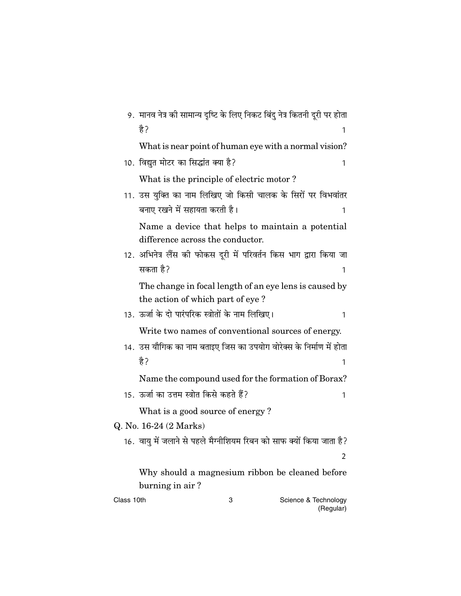|                                                 | 9.  मानव नेत्र की सामान्य दृष्टि के लिए निकट बिंदु नेत्र कितनी दूरी पर होता |  |
|-------------------------------------------------|-----------------------------------------------------------------------------|--|
|                                                 | है?<br>1                                                                    |  |
|                                                 | What is near point of human eye with a normal vision?                       |  |
|                                                 | 10. विद्युत मोटर का सिद्धांत क्या है?<br>1                                  |  |
|                                                 | What is the principle of electric motor?                                    |  |
|                                                 | 11. उस युक्ति का नाम लिखिए जो किसी चालक के सिरों पर विभवांतर                |  |
|                                                 | बनाए रखने में सहायता करती है।<br>1                                          |  |
|                                                 | Name a device that helps to maintain a potential                            |  |
|                                                 | difference across the conductor.                                            |  |
|                                                 | 12. अभिनेत्र लैंस को फोकस दूरी में परिवर्तन किस भाग द्वारा किया जा          |  |
|                                                 | सकता है?<br>1                                                               |  |
|                                                 | The change in focal length of an eye lens is caused by                      |  |
|                                                 | the action of which part of eye?                                            |  |
|                                                 | 13.  ऊर्जा के दो पारंपरिक स्त्रोतों के नाम लिखिए।<br>1                      |  |
|                                                 | Write two names of conventional sources of energy.                          |  |
|                                                 | 14.  उस यौगिक का नाम बताइए जिस का उपयोग वोरेक्स के निर्माण में होता         |  |
|                                                 | है?<br>1                                                                    |  |
|                                                 | Name the compound used for the formation of Borax?                          |  |
|                                                 | 15.  ऊर्जा का उत्तम स्त्रोत किसे कहते हैं?<br>1                             |  |
|                                                 | What is a good source of energy?                                            |  |
|                                                 | Q. No. 16-24 (2 Marks)                                                      |  |
|                                                 | 16. वायु में जलाने से पहले मैग्नीशियम रिबन को साफ क्यों किया जाता है?       |  |
|                                                 | 2                                                                           |  |
| Why should a magnesium ribbon be cleaned before |                                                                             |  |
|                                                 | burning in air?                                                             |  |
| Class 10th                                      | Science & Technology<br>3<br>(Regular)                                      |  |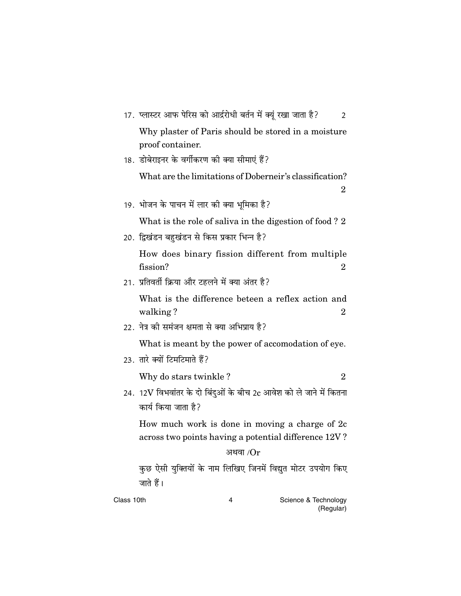|            | 17.  प्लास्टर आफ पेरिस को आर्द्ररोधी बर्तन में क्यूं रखा जाता है?<br>2                                       |
|------------|--------------------------------------------------------------------------------------------------------------|
|            | Why plaster of Paris should be stored in a moisture<br>proof container.                                      |
|            | 18.  डोबेराइनर के वर्गीकरण की क्या सीमाएं हैं?                                                               |
|            | What are the limitations of Doberneir's classification?<br>2                                                 |
|            | 19. भोजन के पाचन में लार की क्या भूमिका है?                                                                  |
|            | What is the role of saliva in the digestion of food? 2                                                       |
|            | 20. द्विखंडन बहुखंडन से किस प्रकार भिन्न है?                                                                 |
|            | How does binary fission different from multiple<br>fission?<br>2                                             |
|            | 21. प्रतिवर्ती क्रिया और टहलने में क्या अंतर है?                                                             |
|            | What is the difference beteen a reflex action and<br>walking?<br>2                                           |
|            | 22. नेत्र को समंजन क्षमता से क्या अभिप्राय है?                                                               |
|            | What is meant by the power of accomodation of eye.                                                           |
|            | 23. तारे क्यों टिमटिमाते हैं?                                                                                |
|            | Why do stars twinkle?<br>$\overline{2}$                                                                      |
|            | 24.  12 ${\rm V}$ विभवांतर के दो बिंदुओं के बीच 2 ${\rm c}$ आवेश को ले जाने में कितना<br>कार्य किया जाता है? |
|            | How much work is done in moving a charge of 2c<br>across two points having a potential difference 12V?       |
|            | अथवा / $\rm Or$                                                                                              |
|            | कुछ ऐसी युक्तियों के नाम लिखिए जिनमें विद्युत मोटर उपयोग किए<br>जाते हैं।                                    |
| Class 10th | Science & Technology<br>4<br>(Regular)                                                                       |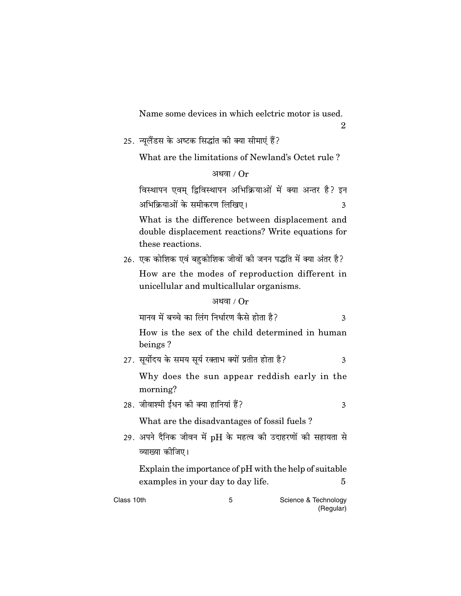Name some devices in which eelctric motor is used.

 $\overline{2}$ 

25. न्यूलैंडस के अष्टक सिद्धांत की क्या सीमाएं हैं?

What are the limitations of Newland's Octet rule?

अथवा /  $Or$ 

विस्थापन एवम् द्विविस्थापन अभिक्रियाओं में क्या अन्तर है? इन अभिक्रियाओं के समीकरण लिखिए।  $\overline{3}$ 

What is the difference between displacement and double displacement reactions? Write equations for these reactions.

26. एक कोशिक एवं बहुकोशिक जीवों की जनन पद्धति में क्या अंतर है?

How are the modes of reproduction different in unicellular and multicallular organisms.

अथवा /  $Or$ 

|  | मानव में बच्चे का लिंग निर्धारण कैसे होता है? |  |
|--|-----------------------------------------------|--|
|--|-----------------------------------------------|--|

How is the sex of the child determined in human beings?

27. सूर्योदय के समय सूर्य रक्ताभ क्यों प्रतीत होता है?  $\overline{3}$ 

Why does the sun appear reddish early in the morning?

28. जीवाश्मी ईंधन की क्या हानियां हैं?  $\overline{3}$ 

What are the disadvantages of fossil fuels?

29. अपने दैनिक जीवन में pH के महत्व की उदाहरणों की सहायता से व्याख्या कोजिए।

Explain the importance of pH with the help of suitable examples in your day to day life.  $\overline{5}$ 

| Class 10th | Science & Technology |
|------------|----------------------|
|            | (Regular)            |